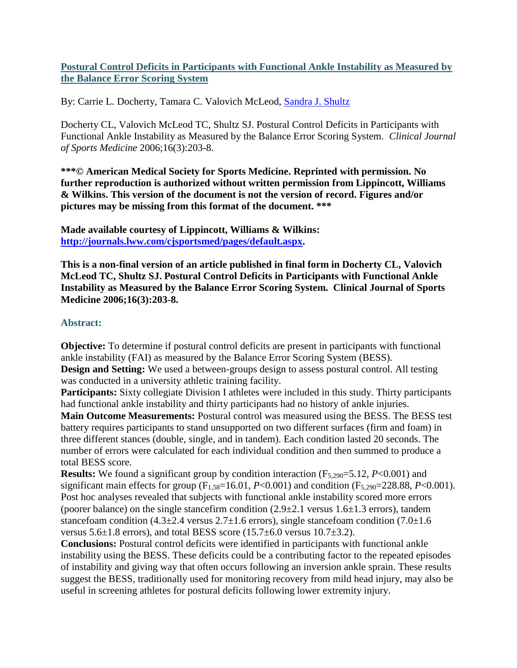# **Postural Control Deficits in Participants with Functional Ankle Instability as Measured by the Balance Error Scoring System**

By: Carrie L. Docherty, Tamara C. Valovich McLeod, [Sandra J. Shultz](https://libres.uncg.edu/ir/uncg/clist.aspx?id=2284)

Docherty CL, Valovich McLeod TC, Shultz SJ. Postural Control Deficits in Participants with Functional Ankle Instability as Measured by the Balance Error Scoring System. *Clinical Journal of Sports Medicine* 2006;16(3):203-8.

**\*\*\*© American Medical Society for Sports Medicine. Reprinted with permission. No further reproduction is authorized without written permission from Lippincott, Williams & Wilkins. This version of the document is not the version of record. Figures and/or pictures may be missing from this format of the document. \*\*\***

**Made available courtesy of Lippincott, Williams & Wilkins: [http://journals.lww.com/cjsportsmed/pages/default.aspx.](http://journals.lww.com/cjsportsmed/pages/default.aspx)**

**This is a non-final version of an article published in final form in Docherty CL, Valovich McLeod TC, Shultz SJ. Postural Control Deficits in Participants with Functional Ankle Instability as Measured by the Balance Error Scoring System. Clinical Journal of Sports Medicine 2006;16(3):203-8.**

# **Abstract:**

**Objective:** To determine if postural control deficits are present in participants with functional ankle instability (FAI) as measured by the Balance Error Scoring System (BESS).

**Design and Setting:** We used a between-groups design to assess postural control. All testing was conducted in a university athletic training facility.

**Participants:** Sixty collegiate Division I athletes were included in this study. Thirty participants had functional ankle instability and thirty participants had no history of ankle injuries.

**Main Outcome Measurements:** Postural control was measured using the BESS. The BESS test battery requires participants to stand unsupported on two different surfaces (firm and foam) in three different stances (double, single, and in tandem). Each condition lasted 20 seconds. The number of errors were calculated for each individual condition and then summed to produce a total BESS score.

**Results:** We found a significant group by condition interaction  $(F_{5,290}=5.12, P<0.001)$  and significant main effects for group  $(F_{1,58}=16.01, P<0.001)$  and condition  $(F_{5,290}=228.88, P<0.001)$ . Post hoc analyses revealed that subjects with functional ankle instability scored more errors (poorer balance) on the single stancefirm condition  $(2.9\pm 2.1$  versus  $1.6\pm 1.3$  errors), tandem stancefoam condition  $(4.3\pm 2.4$  versus  $2.7\pm 1.6$  errors), single stancefoam condition  $(7.0\pm 1.6)$ versus  $5.6\pm1.8$  errors), and total BESS score  $(15.7\pm6.0$  versus  $10.7\pm3.2$ ).

**Conclusions:** Postural control deficits were identified in participants with functional ankle instability using the BESS. These deficits could be a contributing factor to the repeated episodes of instability and giving way that often occurs following an inversion ankle sprain. These results suggest the BESS, traditionally used for monitoring recovery from mild head injury, may also be useful in screening athletes for postural deficits following lower extremity injury.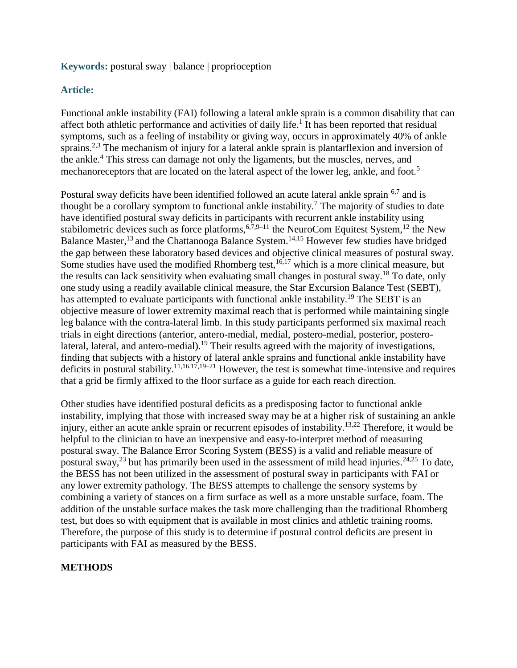### **Keywords:** postural sway | balance | proprioception

# **Article:**

Functional ankle instability (FAI) following a lateral ankle sprain is a common disability that can affect both athletic performance and activities of daily life.<sup>1</sup> It has been reported that residual symptoms, such as a feeling of instability or giving way, occurs in approximately 40% of ankle sprains.<sup>2,3</sup> The mechanism of injury for a lateral ankle sprain is plantarflexion and inversion of the ankle.<sup>4</sup> This stress can damage not only the ligaments, but the muscles, nerves, and mechanoreceptors that are located on the lateral aspect of the lower leg, ankle, and foot.<sup>5</sup>

Postural sway deficits have been identified followed an acute lateral ankle sprain <sup>6,7</sup> and is thought be a corollary symptom to functional ankle instability.<sup>7</sup> The majority of studies to date have identified postural sway deficits in participants with recurrent ankle instability using stabilometric devices such as force platforms,  $6,7,9-11$  the NeuroCom Equitest System, <sup>12</sup> the New Balance Master,<sup>13</sup> and the Chattanooga Balance System.<sup>14,15</sup> However few studies have bridged the gap between these laboratory based devices and objective clinical measures of postural sway. Some studies have used the modified Rhomberg test,  $16,17$  which is a more clinical measure, but the results can lack sensitivity when evaluating small changes in postural sway.<sup>18</sup> To date, only one study using a readily available clinical measure, the Star Excursion Balance Test (SEBT), has attempted to evaluate participants with functional ankle instability.<sup>19</sup> The SEBT is an objective measure of lower extremity maximal reach that is performed while maintaining single leg balance with the contra-lateral limb. In this study participants performed six maximal reach trials in eight directions (anterior, antero-medial, medial, postero-medial, posterior, posterolateral, lateral, and antero-medial).<sup>19</sup> Their results agreed with the majority of investigations, finding that subjects with a history of lateral ankle sprains and functional ankle instability have deficits in postural stability.<sup>11,16,17,19–21</sup> However, the test is somewhat time-intensive and requires that a grid be firmly affixed to the floor surface as a guide for each reach direction.

Other studies have identified postural deficits as a predisposing factor to functional ankle instability, implying that those with increased sway may be at a higher risk of sustaining an ankle injury, either an acute ankle sprain or recurrent episodes of instability.13,22 Therefore, it would be helpful to the clinician to have an inexpensive and easy-to-interpret method of measuring postural sway. The Balance Error Scoring System (BESS) is a valid and reliable measure of postural sway,<sup>23</sup> but has primarily been used in the assessment of mild head injuries.<sup>24,25</sup> To date, the BESS has not been utilized in the assessment of postural sway in participants with FAI or any lower extremity pathology. The BESS attempts to challenge the sensory systems by combining a variety of stances on a firm surface as well as a more unstable surface, foam. The addition of the unstable surface makes the task more challenging than the traditional Rhomberg test, but does so with equipment that is available in most clinics and athletic training rooms. Therefore, the purpose of this study is to determine if postural control deficits are present in participants with FAI as measured by the BESS.

# **METHODS**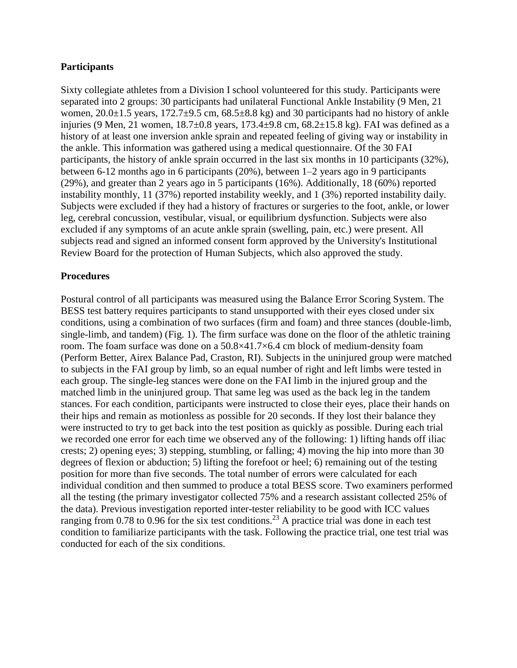### **Participants**

Sixty collegiate athletes from a Division I school volunteered for this study. Participants were separated into 2 groups: 30 participants had unilateral Functional Ankle Instability (9 Men, 21 women,  $20.0\pm1.5$  years,  $172.7\pm9.5$  cm,  $68.5\pm8.8$  kg) and 30 participants had no history of ankle injuries (9 Men, 21 women, 18.7±0.8 years, 173.4±9.8 cm, 68.2±15.8 kg). FAI was defined as a history of at least one inversion ankle sprain and repeated feeling of giving way or instability in the ankle. This information was gathered using a medical questionnaire. Of the 30 FAI participants, the history of ankle sprain occurred in the last six months in 10 participants (32%), between 6-12 months ago in 6 participants (20%), between 1–2 years ago in 9 participants (29%), and greater than 2 years ago in 5 participants (16%). Additionally, 18 (60%) reported instability monthly, 11 (37%) reported instability weekly, and 1 (3%) reported instability daily. Subjects were excluded if they had a history of fractures or surgeries to the foot, ankle, or lower leg, cerebral concussion, vestibular, visual, or equilibrium dysfunction. Subjects were also excluded if any symptoms of an acute ankle sprain (swelling, pain, etc.) were present. All subjects read and signed an informed consent form approved by the University's Institutional Review Board for the protection of Human Subjects, which also approved the study.

#### **Procedures**

Postural control of all participants was measured using the Balance Error Scoring System. The BESS test battery requires participants to stand unsupported with their eyes closed under six conditions, using a combination of two surfaces (firm and foam) and three stances (double-limb, single-limb, and tandem) (Fig. 1). The firm surface was done on the floor of the athletic training room. The foam surface was done on a 50.8×41.7×6.4 cm block of medium-density foam (Perform Better, Airex Balance Pad, Craston, RI). Subjects in the uninjured group were matched to subjects in the FAI group by limb, so an equal number of right and left limbs were tested in each group. The single-leg stances were done on the FAI limb in the injured group and the matched limb in the uninjured group. That same leg was used as the back leg in the tandem stances. For each condition, participants were instructed to close their eyes, place their hands on their hips and remain as motionless as possible for 20 seconds. If they lost their balance they were instructed to try to get back into the test position as quickly as possible. During each trial we recorded one error for each time we observed any of the following: 1) lifting hands off iliac crests; 2) opening eyes; 3) stepping, stumbling, or falling; 4) moving the hip into more than 30 degrees of flexion or abduction; 5) lifting the forefoot or heel; 6) remaining out of the testing position for more than five seconds. The total number of errors were calculated for each individual condition and then summed to produce a total BESS score. Two examiners performed all the testing (the primary investigator collected 75% and a research assistant collected 25% of the data). Previous investigation reported inter-tester reliability to be good with ICC values ranging from 0.78 to 0.96 for the six test conditions.<sup>23</sup> A practice trial was done in each test condition to familiarize participants with the task. Following the practice trial, one test trial was conducted for each of the six conditions.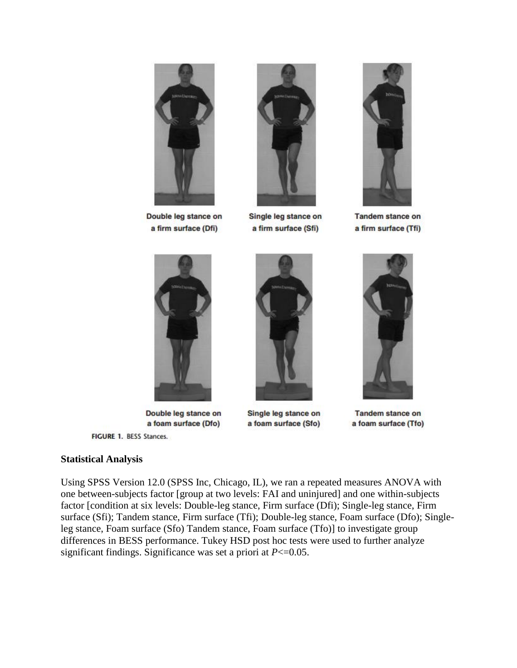

Double leg stance on a firm surface (Dfi)



Single leg stance on a firm surface (Sfi)



**Tandem stance on** a firm surface (Tfi)



Double leg stance on a foam surface (Dfo)

FIGURE 1. BESS Stances.

### **Statistical Analysis**

Using SPSS Version 12.0 (SPSS Inc, Chicago, IL), we ran a repeated measures ANOVA with one between-subjects factor [group at two levels: FAI and uninjured] and one within-subjects factor [condition at six levels: Double-leg stance, Firm surface (Dfi); Single-leg stance, Firm surface (Sfi); Tandem stance, Firm surface (Tfi); Double-leg stance, Foam surface (Dfo); Singleleg stance, Foam surface (Sfo) Tandem stance, Foam surface (Tfo)] to investigate group differences in BESS performance. Tukey HSD post hoc tests were used to further analyze significant findings. Significance was set a priori at *P*<=0.05.



Single leg stance on a foam surface (Sfo)



**Tandem stance on** a foam surface (Tfo)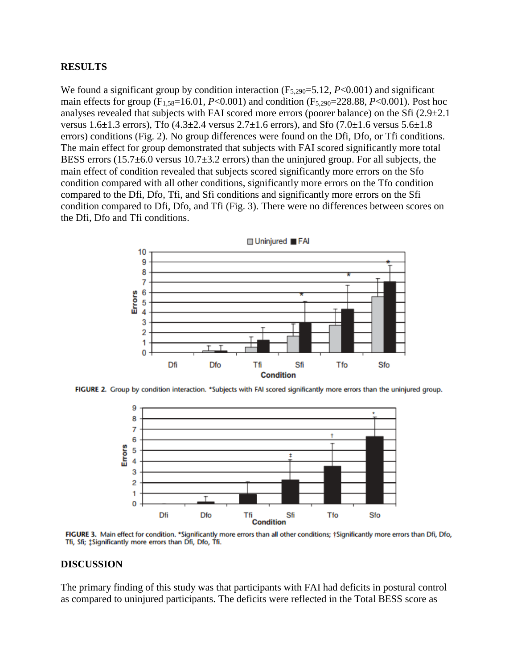#### **RESULTS**

We found a significant group by condition interaction (F<sub>5,290</sub>=5.12, *P*<0.001) and significant main effects for group ( $F_{1,58}=16.01$ , *P*<0.001) and condition ( $F_{5,290}=228.88$ , *P*<0.001). Post hoc analyses revealed that subjects with FAI scored more errors (poorer balance) on the Sfi  $(2.9\pm 2.1)$ versus 1.6 $\pm$ 1.3 errors), Tfo (4.3 $\pm$ 2.4 versus 2.7 $\pm$ 1.6 errors), and Sfo (7.0 $\pm$ 1.6 versus 5.6 $\pm$ 1.8 errors) conditions (Fig. 2). No group differences were found on the Dfi, Dfo, or Tfi conditions. The main effect for group demonstrated that subjects with FAI scored significantly more total BESS errors  $(15.7\pm6.0 \text{ versus } 10.7\pm3.2 \text{ errors})$  than the uninjured group. For all subjects, the main effect of condition revealed that subjects scored significantly more errors on the Sfo condition compared with all other conditions, significantly more errors on the Tfo condition compared to the Dfi, Dfo, Tfi, and Sfi conditions and significantly more errors on the Sfi condition compared to Dfi, Dfo, and Tfi (Fig. 3). There were no differences between scores on the Dfi, Dfo and Tfi conditions.



FIGURE 2. Group by condition interaction. \*Subjects with FAI scored significantly more errors than the uninjured group.



FIGURE 3. Main effect for condition. \*Significantly more errors than all other conditions; †Significantly more errors than Dfi, Dfo, Tfi, Sfi; #Significantly more errors than Dfi, Dfo, Tfi.

#### **DISCUSSION**

The primary finding of this study was that participants with FAI had deficits in postural control as compared to uninjured participants. The deficits were reflected in the Total BESS score as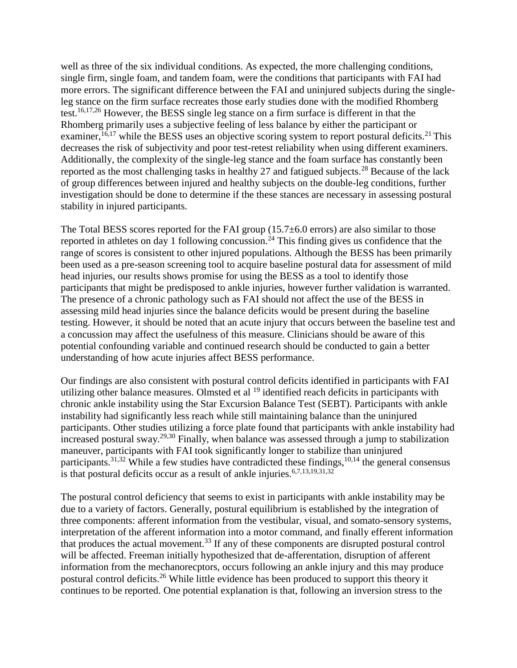well as three of the six individual conditions. As expected, the more challenging conditions, single firm, single foam, and tandem foam, were the conditions that participants with FAI had more errors. The significant difference between the FAI and uninjured subjects during the singleleg stance on the firm surface recreates those early studies done with the modified Rhomberg test.16,17,26 However, the BESS single leg stance on a firm surface is different in that the Rhomberg primarily uses a subjective feeling of less balance by either the participant or examiner,  $16,17$  while the BESS uses an objective scoring system to report postural deficits.<sup>21</sup> This decreases the risk of subjectivity and poor test-retest reliability when using different examiners. Additionally, the complexity of the single-leg stance and the foam surface has constantly been reported as the most challenging tasks in healthy 27 and fatigued subjects.<sup>28</sup> Because of the lack of group differences between injured and healthy subjects on the double-leg conditions, further investigation should be done to determine if the these stances are necessary in assessing postural stability in injured participants.

The Total BESS scores reported for the FAI group (15.7±6.0 errors) are also similar to those reported in athletes on day 1 following concussion.<sup>24</sup> This finding gives us confidence that the range of scores is consistent to other injured populations. Although the BESS has been primarily been used as a pre-season screening tool to acquire baseline postural data for assessment of mild head injuries, our results shows promise for using the BESS as a tool to identify those participants that might be predisposed to ankle injuries, however further validation is warranted. The presence of a chronic pathology such as FAI should not affect the use of the BESS in assessing mild head injuries since the balance deficits would be present during the baseline testing. However, it should be noted that an acute injury that occurs between the baseline test and a concussion may affect the usefulness of this measure. Clinicians should be aware of this potential confounding variable and continued research should be conducted to gain a better understanding of how acute injuries affect BESS performance.

Our findings are also consistent with postural control deficits identified in participants with FAI utilizing other balance measures. Olmsted et al <sup>19</sup> identified reach deficits in participants with chronic ankle instability using the Star Excursion Balance Test (SEBT). Participants with ankle instability had significantly less reach while still maintaining balance than the uninjured participants. Other studies utilizing a force plate found that participants with ankle instability had increased postural sway.29,30 Finally, when balance was assessed through a jump to stabilization maneuver, participants with FAI took significantly longer to stabilize than uninjured participants.<sup>31,32</sup> While a few studies have contradicted these findings,  $10,14$  the general consensus is that postural deficits occur as a result of ankle injuries.<sup>6,7,13,19,31,32</sup>

The postural control deficiency that seems to exist in participants with ankle instability may be due to a variety of factors. Generally, postural equilibrium is established by the integration of three components: afferent information from the vestibular, visual, and somato-sensory systems, interpretation of the afferent information into a motor command, and finally efferent information that produces the actual movement.<sup>33</sup> If any of these components are disrupted postural control will be affected. Freeman initially hypothesized that de-afferentation, disruption of afferent information from the mechanorecptors, occurs following an ankle injury and this may produce postural control deficits.<sup>26</sup> While little evidence has been produced to support this theory it continues to be reported. One potential explanation is that, following an inversion stress to the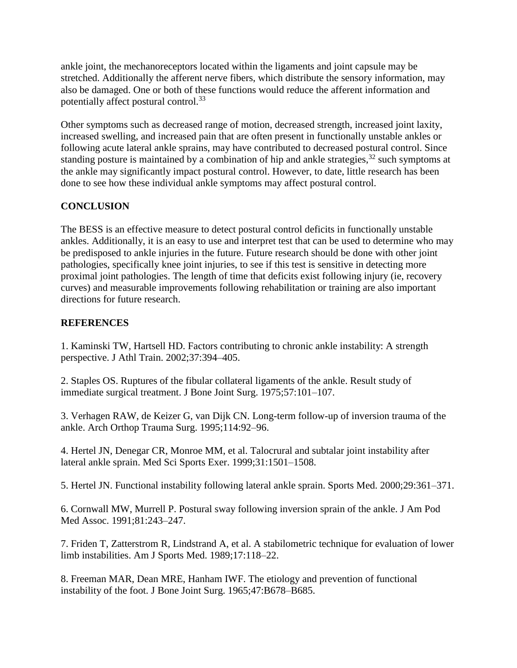ankle joint, the mechanoreceptors located within the ligaments and joint capsule may be stretched. Additionally the afferent nerve fibers, which distribute the sensory information, may also be damaged. One or both of these functions would reduce the afferent information and potentially affect postural control.<sup>33</sup>

Other symptoms such as decreased range of motion, decreased strength, increased joint laxity, increased swelling, and increased pain that are often present in functionally unstable ankles or following acute lateral ankle sprains, may have contributed to decreased postural control. Since standing posture is maintained by a combination of hip and ankle strategies,  $32$  such symptoms at the ankle may significantly impact postural control. However, to date, little research has been done to see how these individual ankle symptoms may affect postural control.

# **CONCLUSION**

The BESS is an effective measure to detect postural control deficits in functionally unstable ankles. Additionally, it is an easy to use and interpret test that can be used to determine who may be predisposed to ankle injuries in the future. Future research should be done with other joint pathologies, specifically knee joint injuries, to see if this test is sensitive in detecting more proximal joint pathologies. The length of time that deficits exist following injury (ie, recovery curves) and measurable improvements following rehabilitation or training are also important directions for future research.

# **REFERENCES**

1. Kaminski TW, Hartsell HD. Factors contributing to chronic ankle instability: A strength perspective. J Athl Train. 2002;37:394–405.

2. Staples OS. Ruptures of the fibular collateral ligaments of the ankle. Result study of immediate surgical treatment. J Bone Joint Surg. 1975;57:101–107.

3. Verhagen RAW, de Keizer G, van Dijk CN. Long-term follow-up of inversion trauma of the ankle. Arch Orthop Trauma Surg. 1995;114:92–96.

4. Hertel JN, Denegar CR, Monroe MM, et al. Talocrural and subtalar joint instability after lateral ankle sprain. Med Sci Sports Exer. 1999;31:1501–1508.

5. Hertel JN. Functional instability following lateral ankle sprain. Sports Med. 2000;29:361–371.

6. Cornwall MW, Murrell P. Postural sway following inversion sprain of the ankle. J Am Pod Med Assoc. 1991;81:243–247.

7. Friden T, Zatterstrom R, Lindstrand A, et al. A stabilometric technique for evaluation of lower limb instabilities. Am J Sports Med. 1989;17:118–22.

8. Freeman MAR, Dean MRE, Hanham IWF. The etiology and prevention of functional instability of the foot. J Bone Joint Surg. 1965;47:B678–B685.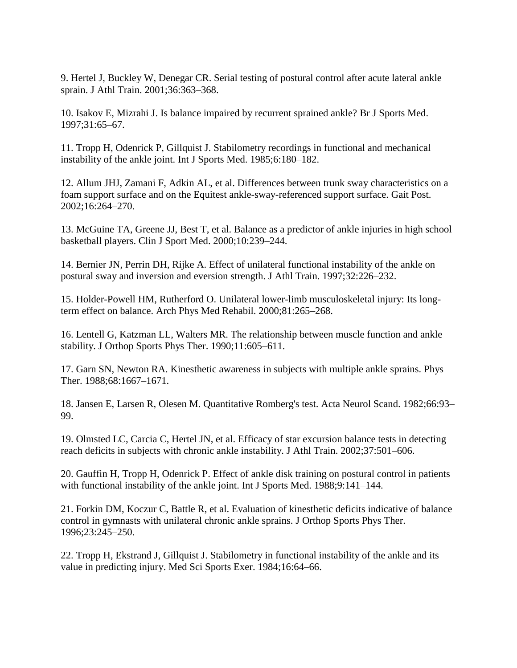9. Hertel J, Buckley W, Denegar CR. Serial testing of postural control after acute lateral ankle sprain. J Athl Train. 2001;36:363–368.

10. Isakov E, Mizrahi J. Is balance impaired by recurrent sprained ankle? Br J Sports Med. 1997;31:65–67.

11. Tropp H, Odenrick P, Gillquist J. Stabilometry recordings in functional and mechanical instability of the ankle joint. Int J Sports Med. 1985;6:180–182.

12. Allum JHJ, Zamani F, Adkin AL, et al. Differences between trunk sway characteristics on a foam support surface and on the Equitest ankle-sway-referenced support surface. Gait Post. 2002;16:264–270.

13. McGuine TA, Greene JJ, Best T, et al. Balance as a predictor of ankle injuries in high school basketball players. Clin J Sport Med. 2000;10:239–244.

14. Bernier JN, Perrin DH, Rijke A. Effect of unilateral functional instability of the ankle on postural sway and inversion and eversion strength. J Athl Train. 1997;32:226–232.

15. Holder-Powell HM, Rutherford O. Unilateral lower-limb musculoskeletal injury: Its longterm effect on balance. Arch Phys Med Rehabil. 2000;81:265–268.

16. Lentell G, Katzman LL, Walters MR. The relationship between muscle function and ankle stability. J Orthop Sports Phys Ther. 1990;11:605–611.

17. Garn SN, Newton RA. Kinesthetic awareness in subjects with multiple ankle sprains. Phys Ther. 1988;68:1667–1671.

18. Jansen E, Larsen R, Olesen M. Quantitative Romberg's test. Acta Neurol Scand. 1982;66:93– 99.

19. Olmsted LC, Carcia C, Hertel JN, et al. Efficacy of star excursion balance tests in detecting reach deficits in subjects with chronic ankle instability. J Athl Train. 2002;37:501–606.

20. Gauffin H, Tropp H, Odenrick P. Effect of ankle disk training on postural control in patients with functional instability of the ankle joint. Int J Sports Med. 1988;9:141-144.

21. Forkin DM, Koczur C, Battle R, et al. Evaluation of kinesthetic deficits indicative of balance control in gymnasts with unilateral chronic ankle sprains. J Orthop Sports Phys Ther. 1996;23:245–250.

22. Tropp H, Ekstrand J, Gillquist J. Stabilometry in functional instability of the ankle and its value in predicting injury. Med Sci Sports Exer. 1984;16:64–66.